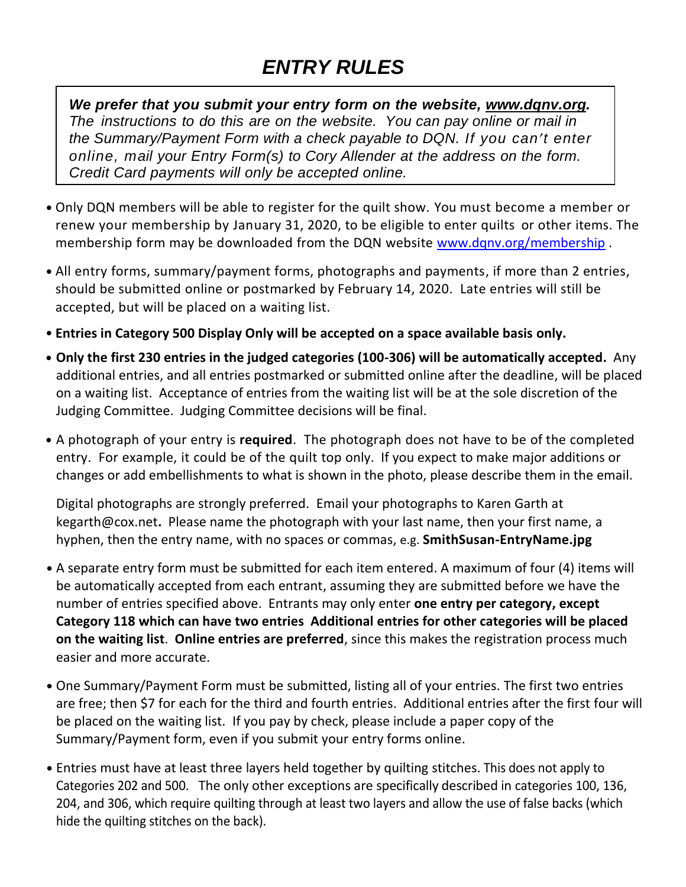## *ENTRY RULES*

 *We prefer that you submit your entry form on the website, [www.dqnv.org.](http://www.dqnv.org/) the Summary/Payment Form with a check payable to DQN. If you can't enter The instructions to do this are on the website. You can pay online or mail in online, mail your Entry Form(s) to Cory Allender at the address on the form. Credit Card payments will only be accepted online.*

- Only DQN members will be able to register for the quilt show. You must become a member or renew your membership by January 31, 2020, to be eligible to enter quilts or other items. The membership form may be downloaded from the DQN website [www.dqnv.org/membership](http://www.dqnv.org/membership).
- All entry forms, summary/payment forms, photographs and payments, if more than 2 entries, should be submitted online or postmarked by February 14, 2020. Late entries will still be accepted, but will be placed on a waiting list.
- **Entries in Category 500 Display Only will be accepted on a space available basis only.**
- **Only the first 230 entries in the judged categories (100-306) will be automatically accepted.** Any additional entries, and all entries postmarked or submitted online after the deadline, will be placed on a waiting list. Acceptance of entries from the waiting list will be at the sole discretion of the Judging Committee. Judging Committee decisions will be final.
- A photograph of your entry is **required**. The photograph does not have to be of the completed entry. For example, it could be of the quilt top only. If you expect to make major additions or changes or add embellishments to what is shown in the photo, please describe them in the email.

Digital photographs are strongly preferred. Email your photographs to Karen Garth at kegarth@cox.net**.** Please name the photograph with your last name, then your first name, a hyphen, then the entry name, with no spaces or commas, e.g. **SmithSusan-EntryName.jpg**

- A separate entry form must be submitted for each item entered. A maximum of four (4) items will be automatically accepted from each entrant, assuming they are submitted before we have the number of entries specified above. Entrants may only enter **one entry per category, except Category 118 which can have two entries Additional entries for other categories will be placed on the waiting list**. **Online entries are preferred**, since this makes the registration process much easier and more accurate.
- One Summary/Payment Form must be submitted, listing all of your entries. The first two entries are free; then \$7 for each for the third and fourth entries. Additional entries after the first four will be placed on the waiting list. If you pay by check, please include a paper copy of the Summary/Payment form, even if you submit your entry forms online.
- Entries must have at least three layers held together by quilting stitches. This does not apply to Categories 202 and 500. The only other exceptions are specifically described in categories 100, 136, 204, and 306, which require quilting through at least two layers and allow the use of false backs (which hide the quilting stitches on the back).